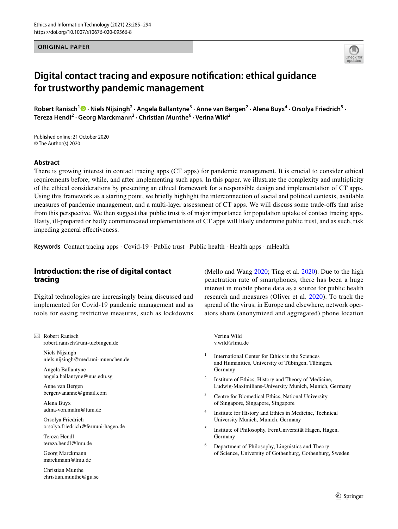**ORIGINAL PAPER**



# **Digital contact tracing and exposure notifcation: ethical guidance for trustworthy pandemic management**

Robert Ranisch<sup>1</sup> <sup>O</sup> [·](http://orcid.org/0000-0002-1676-1694) Niels Nijsingh<sup>2</sup> · Angela Ballantyne<sup>3</sup> · Anne van Bergen<sup>2</sup> · Alena Buyx<sup>4</sup> · Orsolya Friedrich<sup>5</sup> · **Tereza Hendl2 · Georg Marckmann2 · Christian Munthe6 · Verina Wild2**

Published online: 21 October 2020 © The Author(s) 2020

## **Abstract**

There is growing interest in contact tracing apps (CT apps) for pandemic management. It is crucial to consider ethical requirements before, while, and after implementing such apps. In this paper, we illustrate the complexity and multiplicity of the ethical considerations by presenting an ethical framework for a responsible design and implementation of CT apps. Using this framework as a starting point, we briefy highlight the interconnection of social and political contexts, available measures of pandemic management, and a multi-layer assessment of CT apps. We will discuss some trade-ofs that arise from this perspective. We then suggest that public trust is of major importance for population uptake of contact tracing apps. Hasty, ill-prepared or badly communicated implementations of CT apps will likely undermine public trust, and as such, risk impeding general effectiveness.

**Keywords** Contact tracing apps · Covid-19 · Public trust · Public health · Health apps · mHealth

## **Introduction: the rise of digital contact tracing**

Digital technologies are increasingly being discussed and implemented for Covid-19 pandemic management and as tools for easing restrictive measures, such as lockdowns

 $\boxtimes$  Robert Ranisch robert.ranisch@uni-tuebingen.de

> Niels Nijsingh niels.nijsingh@med.uni-muenchen.de

Angela Ballantyne angela.ballantyne@nus.edu.sg

Anne van Bergen bergenvananne@gmail.com

Alena Buyx adina-von.malm@tum.de

Orsolya Friedrich orsolya.friedrich@fernuni-hagen.de

Tereza Hendl tereza.hendl@lmu.de

Georg Marckmann marckmann@lmu.de

Christian Munthe christian.munthe@gu.se (Mello and Wang [2020;](#page-8-0) Ting et al. [2020\)](#page-9-0). Due to the high penetration rate of smartphones, there has been a huge interest in mobile phone data as a source for public health research and measures (Oliver et al. [2020](#page-8-1)). To track the spread of the virus, in Europe and elsewhere, network operators share (anonymized and aggregated) phone location

- Verina Wild v.wild@lmu.de
- <sup>1</sup> International Center for Ethics in the Sciences and Humanities, University of Tübingen, Tübingen, Germany
- <sup>2</sup> Institute of Ethics, History and Theory of Medicine, Ludwig-Maximilians-University Munich, Munich, Germany
- <sup>3</sup> Centre for Biomedical Ethics, National University of Singapore, Singapore, Singapore
- Institute for History and Ethics in Medicine, Technical University Munich, Munich, Germany
- <sup>5</sup> Institute of Philosophy, FernUniversität Hagen, Hagen, Germany
- <sup>6</sup> Department of Philosophy, Linguistics and Theory of Science, University of Gothenburg, Gothenburg, Sweden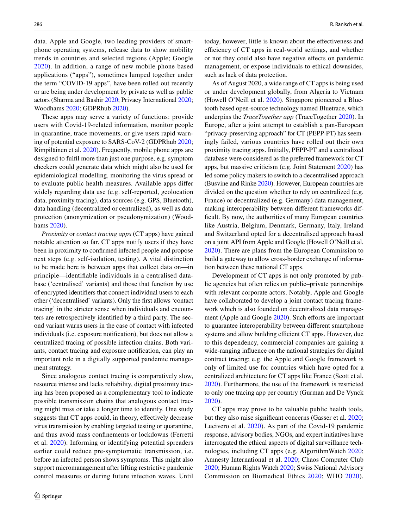data. Apple and Google, two leading providers of smartphone operating systems, release data to show mobility trends in countries and selected regions (Apple; Google [2020\)](#page-8-2). In addition, a range of new mobile phone based applications ("apps"), sometimes lumped together under the term "COVID-19 apps", have been rolled out recently or are being under development by private as well as public actors (Sharma and Bashir [2020;](#page-8-3) Privacy International [2020](#page-8-4); Woodhams [2020;](#page-9-1) GDPRhub [2020\)](#page-8-5).

These apps may serve a variety of functions: provide users with Covid-19-related information, monitor people in quarantine, trace movements, or give users rapid warning of potential exposure to SARS-CoV-2 (GDPRhub [2020](#page-8-5); Rimpiläinen et al. [2020](#page-8-6)). Frequently, mobile phone apps are designed to fulfl more than just one purpose, e.g. symptom checkers could generate data which might also be used for epidemiological modelling, monitoring the virus spread or to evaluate public health measures. Available apps difer widely regarding data use (e.g. self-reported, geolocation data, proximity tracing), data sources (e.g. GPS, Bluetooth), data handling (decentralized or centralized), as well as data protection (anonymization or pseudonymization) (Woodhams [2020\)](#page-9-1).

*Proximity* or *contact tracing apps* (CT apps) have gained notable attention so far. CT apps notify users if they have been in proximity to confrmed infected people and propose next steps (e.g. self-isolation, testing). A vital distinction to be made here is between apps that collect data on—in principle—identifable individuals in a centralised database ('centralised' variants) and those that function by use of encrypted identifers that connect individual users to each other ('decentralised' variants). Only the frst allows 'contact tracing' in the stricter sense when individuals and encounters are retrospectively identifed by a third party. The second variant warns users in the case of contact with infected individuals (i.e. exposure notifcation), but does not allow a centralized tracing of possible infection chains. Both variants, contact tracing and exposure notifcation, can play an important role in a digitally supported pandemic management strategy.

Since analogous contact tracing is comparatively slow, resource intense and lacks reliability, digital proximity tracing has been proposed as a complementary tool to indicate possible transmission chains that analogous contact tracing might miss or take a longer time to identify. One study suggests that CT apps could, in theory, efectively decrease virus transmission by enabling targeted testing or quarantine, and thus avoid mass confnements or lockdowns (Ferretti et al. [2020\)](#page-8-7). Informing or identifying potential spreaders earlier could reduce pre-symptomatic transmission, i.e. before an infected person shows symptoms. This might also support micromanagement after lifting restrictive pandemic control measures or during future infection waves. Until today, however, little is known about the efectiveness and efficiency of CT apps in real-world settings, and whether or not they could also have negative efects on pandemic management, or expose individuals to ethical downsides, such as lack of data protection.

As of August 2020, a wide range of CT apps is being used or under development globally, from Algeria to Vietnam (Howell O'Neill et al. [2020\)](#page-8-8). Singapore pioneered a Bluetooth based open-source technology named Bluetrace, which underpins the *TraceTogether app* (TraceTogether [2020](#page-9-2)). In Europe, after a joint attempt to establish a pan-European "privacy-preserving approach" for CT (PEPP-PT) has seemingly failed, various countries have rolled out their own proximity tracing apps. Initially, PEPP-PT and a centralized database were considered as the preferred framework for CT apps, but massive criticism (e.g. Joint Statement [2020\)](#page-8-9) has led some policy makers to switch to a decentralised approach (Busvine and Rinke [2020\)](#page-7-0). However, European countries are divided on the question whether to rely on centralized (e.g. France) or decentralized (e.g. Germany) data management, making interoperability between diferent frameworks difficult. By now, the authorities of many European countries like Austria, Belgium, Denmark, Germany, Italy, Ireland and Switzerland opted for a decentralised approach based on a joint API from Apple and Google (Howell O'Neill et al. [2020\)](#page-8-8). There are plans from the European Commission to build a gateway to allow cross-border exchange of information between these national CT apps.

Development of CT apps is not only promoted by public agencies but often relies on public–private partnerships with relevant corporate actors. Notably, Apple and Google have collaborated to develop a joint contact tracing framework which is also founded on decentralized data manage-ment (Apple and Google [2020\)](#page-8-2). Such efforts are important to guarantee interoperability between diferent smartphone systems and allow building efficient CT apps. However, due to this dependency, commercial companies are gaining a wide-ranging infuence on the national strategies for digital contract tracing; e.g. the Apple and Google framework is only of limited use for countries which have opted for a centralized architecture for CT apps like France (Scott et al. [2020](#page-8-10)). Furthermore, the use of the framework is restricted to only one tracing app per country (Gurman and De Vynck [2020](#page-8-11)).

CT apps may prove to be valuable public health tools, but they also raise signifcant concerns (Gasser et al. [2020](#page-8-12); Lucivero et al. [2020\)](#page-8-13). As part of the Covid-19 pandemic response, advisory bodies, NGOs, and expert initiatives have interrogated the ethical aspects of digital surveillance technologies, including CT apps (e.g. AlgorithmWatch [2020](#page-7-1); Amnesty International et al. [2020;](#page-7-2) Chaos Computer Club [2020](#page-7-3); Human Rights Watch [2020](#page-8-14); Swiss National Advisory Commission on Biomedical Ethics [2020;](#page-8-15) WHO [2020\)](#page-9-3).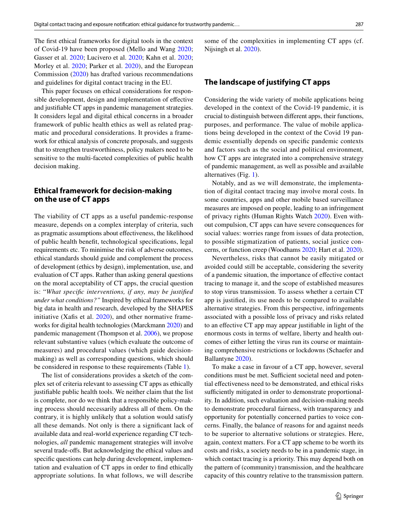The frst ethical frameworks for digital tools in the context of Covid-19 have been proposed (Mello and Wang [2020](#page-8-0); Gasser et al. [2020;](#page-8-12) Lucivero et al. [2020;](#page-8-13) Kahn et al. [2020](#page-8-16); Morley et al. [2020;](#page-8-17) Parker et al. [2020](#page-8-18)), and the European Commission ([2020](#page-7-4)) has drafted various recommendations and guidelines for digital contact tracing in the EU.

This paper focuses on ethical considerations for responsible development, design and implementation of efective and justifable CT apps in pandemic management strategies. It considers legal and digital ethical concerns in a broader framework of public health ethics as well as related pragmatic and procedural considerations. It provides a framework for ethical analysis of concrete proposals, and suggests that to strengthen trustworthiness, policy makers need to be sensitive to the multi-faceted complexities of public health decision making.

## **Ethical framework for decision‑making on the use of CT apps**

The viability of CT apps as a useful pandemic-response measure, depends on a complex interplay of criteria, such as pragmatic assumptions about efectiveness, the likelihood of public health beneft, technological specifcations, legal requirements etc. To minimise the risk of adverse outcomes, ethical standards should guide and complement the process of development (ethics by design), implementation, use, and evaluation of CT apps. Rather than asking general questions on the moral acceptability of CT apps, the crucial question is: "*What specifc interventions, if any, may be justifed under what conditions?"* Inspired by ethical frameworks for big data in health and research, developed by the SHAPES initiative (Xafis et al. [2020](#page-9-4)), and other normative frameworks for digital health technologies (Marckmann [2020](#page-8-19)) and pandemic management (Thompson et al. [2006\)](#page-9-5), we propose relevant substantive values (which evaluate the outcome of measures) and procedural values (which guide decisionmaking) as well as corresponding questions, which should be considered in response to these requirements (Table [1](#page-3-0)).

The list of considerations provides a sketch of the complex set of criteria relevant to assessing CT apps as ethically justifable public health tools. We neither claim that the list is complete, nor do we think that a responsible policy-making process should necessarily address all of them. On the contrary, it is highly unlikely that a solution would satisfy all these demands. Not only is there a signifcant lack of available data and real-world experience regarding CT technologies, *all* pandemic management strategies will involve several trade-ofs. But acknowledging the ethical values and specifc questions can help during development, implementation and evaluation of CT apps in order to fnd ethically appropriate solutions. In what follows, we will describe

some of the complexities in implementing CT apps (cf. Nijsingh et al. [2020](#page-8-20)).

## **The landscape of justifying CT apps**

Considering the wide variety of mobile applications being developed in the context of the Covid-19 pandemic, it is crucial to distinguish between diferent apps, their functions, purposes, and performance. The value of mobile applications being developed in the context of the Covid 19 pandemic essentially depends on specifc pandemic contexts and factors such as the social and political environment, how CT apps are integrated into a comprehensive strategy of pandemic management, as well as possible and available alternatives (Fig. [1](#page-4-0)).

Notably, and as we will demonstrate, the implementation of digital contact tracing may involve moral costs. In some countries, apps and other mobile based surveillance measures are imposed on people, leading to an infringement of privacy rights (Human Rights Watch [2020\)](#page-8-14). Even without compulsion, CT apps can have severe consequences for social values: worries range from issues of data protection, to possible stigmatization of patients, social justice concerns, or function creep (Woodhams [2020](#page-9-1); Hart et al. [2020](#page-8-21)).

Nevertheless, risks that cannot be easily mitigated or avoided could still be acceptable, considering the severity of a pandemic situation, the importance of efective contact tracing to manage it, and the scope of established measures to stop virus transmission. To assess whether a certain CT app is justifed, its use needs to be compared to available alternative strategies. From this perspective, infringements associated with a possible loss of privacy and risks related to an efective CT app may appear justifable in light of the enormous costs in terms of welfare, liberty and health outcomes of either letting the virus run its course or maintaining comprehensive restrictions or lockdowns (Schaefer and Ballantyne [2020\)](#page-8-22).

To make a case in favour of a CT app, however, several conditions must be met. Sufficient societal need and potential efectiveness need to be demonstrated, and ethical risks sufficiently mitigated in order to demonstrate proportionality. In addition, such evaluation and decision-making needs to demonstrate procedural fairness, with transparency and opportunity for potentially concerned parties to voice concerns. Finally, the balance of reasons for and against needs to be superior to alternative solutions or strategies. Here, again, context matters. For a CT app scheme to be worth its costs and risks, a society needs to be in a pandemic stage, in which contact tracing is a priority. This may depend both on the pattern of (community) transmission, and the healthcare capacity of this country relative to the transmission pattern.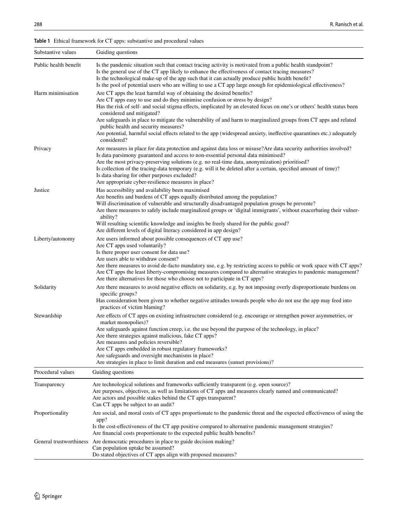| Substantive values    | Guiding questions                                                                                                                                                                                                                                                                                                                                                                                                                                                                                                                                                                                                 |
|-----------------------|-------------------------------------------------------------------------------------------------------------------------------------------------------------------------------------------------------------------------------------------------------------------------------------------------------------------------------------------------------------------------------------------------------------------------------------------------------------------------------------------------------------------------------------------------------------------------------------------------------------------|
| Public health benefit | Is the pandemic situation such that contact tracing activity is motivated from a public health standpoint?<br>Is the general use of the CT app likely to enhance the effectiveness of contact tracing measures?<br>Is the technological make-up of the app such that it can actually produce public health benefit?<br>Is the pool of potential users who are willing to use a CT app large enough for epidemiological effectiveness?                                                                                                                                                                             |
| Harm minimisation     | Are CT apps the least harmful way of obtaining the desired benefits?<br>Are CT apps easy to use and do they minimise confusion or stress by design?<br>Has the risk of self- and social stigma effects, implicated by an elevated focus on one's or others' health status been<br>considered and mitigated?<br>Are safeguards in place to mitigate the vulnerability of and harm to marginalized groups from CT apps and related<br>public health and security measures?<br>Are potential, harmful social effects related to the app (widespread anxiety, ineffective quarantines etc.) adequately<br>considered? |
| Privacy               | Are measures in place for data protection and against data loss or misuse?Are data security authorities involved?<br>Is data parsimony guaranteed and access to non-essential personal data minimised?<br>Are the most privacy-preserving solutions (e.g. no real-time data, anonymization) prioritised?<br>Is collection of the tracing-data temporary (e.g. will it be deleted after a certain, specified amount of time)?<br>Is data sharing for other purposes excluded?<br>Are appropriate cyber-resilience measures in place?                                                                               |
| Justice               | Has accessibility and availability been maximised<br>Are benefits and burdens of CT apps equally distributed among the population?<br>Will discrimination of vulnerable and structurally disadvantaged population groups be prevente?<br>Are there measures to safely include marginalized groups or 'digital immigrants', without exacerbating their vulner-<br>ability?<br>Will resulting scientific knowledge and insights be freely shared for the public good?<br>Are different levels of digital literacy considered in app design?                                                                         |
| Liberty/autonomy      | Are users informed about possible consequences of CT app use?<br>Are CT apps used voluntarily?<br>Is there proper user consent for data use?<br>Are users able to withdraw consent?<br>Are there measures to avoid de-facto mandatory use, e.g. by restricting access to public or work space with CT apps?<br>Are CT apps the least liberty-compromising measures compared to alternative strategies to pandemic management?<br>Are there alternatives for those who choose not to participate in CT apps?                                                                                                       |
| Solidarity            | Are there measures to avoid negative effects on solidarity, e.g. by not imposing overly disproportionate burdens on<br>specific groups?<br>Has consideration been given to whether negative attitudes towards people who do not use the app may feed into<br>practices of victim blaming?                                                                                                                                                                                                                                                                                                                         |
| Stewardship           | Are effects of CT apps on existing infrastructure considered (e.g. encourage or strengthen power asymmetries, or<br>market monopolies)?<br>Are safeguards against function creep, i.e. the use beyond the purpose of the technology, in place?<br>Are there strategies against malicious, fake CT apps?<br>Are measures and policies reversible?<br>Are CT apps embedded in robust regulatory frameworks?<br>Are safeguards and oversight mechanisms in place?<br>Are strategies in place to limit duration and end measures (sunset provisions)?                                                                 |
| Procedural values     | Guiding questions                                                                                                                                                                                                                                                                                                                                                                                                                                                                                                                                                                                                 |
| Transparency          | Are technological solutions and frameworks sufficiently transparent (e.g. open source)?<br>Are purposes, objectives, as well as limitations of CT apps and measures clearly named and communicated?<br>Are actors and possible stakes behind the CT apps transparent?<br>Can CT apps be subject to an audit?                                                                                                                                                                                                                                                                                                      |
| Proportionality       | Are social, and moral costs of CT apps proportionate to the pandemic threat and the expected effectiveness of using the<br>app?<br>Is the cost-effectiveness of the CT app positive compared to alternative pandemic management strategies?<br>Are financial costs proportionate to the expected public health benefits?                                                                                                                                                                                                                                                                                          |
|                       | General trustworthiness Are democratic procedures in place to guide decision making?<br>Can population uptake be assumed?<br>Do stated objectives of CT apps align with proposed measures?                                                                                                                                                                                                                                                                                                                                                                                                                        |

<span id="page-3-0"></span>**Table 1** Ethical framework for CT apps: substantive and procedural values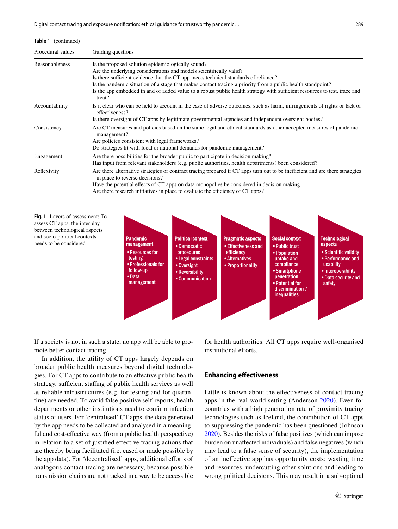| $i$ avie i (continueu) |                                                                                                                                                                                                                                                                                                                                                                                                                                                                      |  |
|------------------------|----------------------------------------------------------------------------------------------------------------------------------------------------------------------------------------------------------------------------------------------------------------------------------------------------------------------------------------------------------------------------------------------------------------------------------------------------------------------|--|
| Procedural values      | Guiding questions                                                                                                                                                                                                                                                                                                                                                                                                                                                    |  |
| Reasonableness         | Is the proposed solution epidemiologically sound?<br>Are the underlying considerations and models scientifically valid?<br>Is there sufficient evidence that the CT app meets technical standards of reliance?<br>Is the pandemic situation of a stage that makes contact tracing a priority from a public health standpoint?<br>Is the app embedded in and of added value to a robust public health strategy with sufficient resources to test, trace and<br>treat? |  |
| Accountability         | Is it clear who can be held to account in the case of adverse outcomes, such as harm, infringements of rights or lack of<br>effectiveness?<br>Is there oversight of CT apps by legitimate governmental agencies and independent oversight bodies?                                                                                                                                                                                                                    |  |
| Consistency            | Are CT measures and policies based on the same legal and ethical standards as other accepted measures of pandemic<br>management?<br>Are policies consistent with legal frameworks?<br>Do strategies fit with local or national demands for pandemic management?                                                                                                                                                                                                      |  |
| Engagement             | Are there possibilities for the broader public to participate in decision making?<br>Has input from relevant stakeholders (e.g. public authorities, health departments) been considered?                                                                                                                                                                                                                                                                             |  |
| Reflexivity            | Are there alternative strategies of contract tracing prepared if CT apps turn out to be inefficient and are there strategies<br>in place to reverse decisions?<br>Have the potential effects of CT apps on data monopolies be considered in decision making<br>Are there research initiatives in place to evaluate the efficiency of CT apps?                                                                                                                        |  |

<span id="page-4-0"></span>**Fig. 1** Layers of assessment: To assess CT apps, the interplay between technological aspects and socio-political contexts needs to be considered

**Table 1** (continued)



If a society is not in such a state, no app will be able to promote better contact tracing.

In addition, the utility of CT apps largely depends on broader public health measures beyond digital technologies. For CT apps to contribute to an efective public health strategy, sufficient staffing of public health services as well as reliable infrastructures (e.g. for testing and for quarantine) are needed. To avoid false positive self-reports, health departments or other institutions need to confrm infection status of users. For 'centralised' CT apps, the data generated by the app needs to be collected and analysed in a meaningful and cost-efective way (from a public health perspective) in relation to a set of justifed efective tracing actions that are thereby being facilitated (i.e. eased or made possible by the app data). For 'decentralised' apps, additional efforts of analogous contact tracing are necessary, because possible transmission chains are not tracked in a way to be accessible

for health authorities. All CT apps require well-organised institutional efforts.

## **Enhancing efectiveness**

Little is known about the efectiveness of contact tracing apps in the real-world setting (Anderson [2020](#page-7-5)). Even for countries with a high penetration rate of proximity tracing technologies such as Iceland, the contribution of CT apps to suppressing the pandemic has been questioned (Johnson [2020\)](#page-8-23). Besides the risks of false positives (which can impose burden on unafected individuals) and false negatives (which may lead to a false sense of security), the implementation of an inefective app has opportunity costs: wasting time and resources, undercutting other solutions and leading to wrong political decisions. This may result in a sub-optimal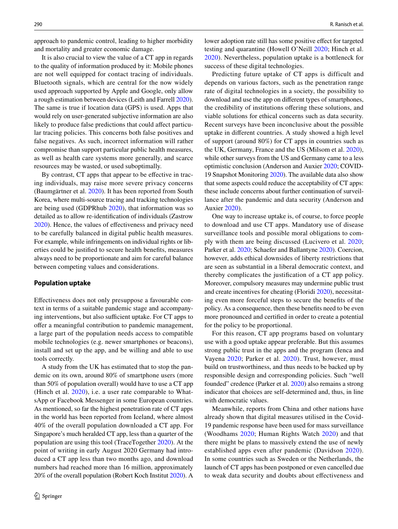approach to pandemic control, leading to higher morbidity and mortality and greater economic damage.

It is also crucial to view the value of a CT app in regards to the quality of information produced by it: Mobile phones are not well equipped for contact tracing of individuals. Bluetooth signals, which are central for the now widely used approach supported by Apple and Google, only allow a rough estimation between devices (Leith and Farrell [2020](#page-8-24)). The same is true if location data (GPS) is used. Apps that would rely on user-generated subjective information are also likely to produce false predictions that could affect particular tracing policies. This concerns both false positives and false negatives. As such, incorrect information will rather compromise than support particular public health measures, as well as health care systems more generally, and scarce resources may be wasted, or used suboptimally.

By contrast, CT apps that appear to be effective in tracing individuals, may raise more severe privacy concerns (Baumgärtner et al. [2020](#page-7-6)). It has been reported from South Korea, where multi-source tracing and tracking technologies are being used (GDPRhub [2020](#page-8-5)), that information was so detailed as to allow re-identifcation of individuals (Zastrow [2020](#page-9-6)). Hence, the values of efectiveness and privacy need to be carefully balanced in digital public health measures. For example, while infringements on individual rights or liberties could be justifed to secure health benefts, measures always need to be proportionate and aim for careful balance between competing values and considerations.

#### **Population uptake**

Efectiveness does not only presuppose a favourable context in terms of a suitable pandemic stage and accompanying interventions, but also sufficient uptake. For CT apps to ofer a meaningful contribution to pandemic management, a large part of the population needs access to compatible mobile technologies (e.g. newer smartphones or beacons), install and set up the app, and be willing and able to use tools correctly.

A study from the UK has estimated that to stop the pandemic on its own, around 80% of smartphone users (more than 50% of population overall) would have to use a CT app (Hinch et al. [2020\)](#page-8-25), i.e. a user rate comparable to WhatsApp or Facebook Messenger in some European countries. As mentioned, so far the highest penetration rate of CT apps in the world has been reported from Iceland, where almost 40% of the overall population downloaded a CT app. For Singapore's much heralded CT app, less than a quarter of the population are using this tool (TraceTogether [2020\)](#page-9-2). At the point of writing in early August 2020 Germany had introduced a CT app less than two months ago, and download numbers had reached more than 16 million, approximately 20% of the overall population (Robert Koch Institut [2020\)](#page-8-26). A

lower adoption rate still has some positive effect for targeted testing and quarantine (Howell O'Neill [2020;](#page-8-27) Hinch et al. [2020\)](#page-8-25). Nevertheless, population uptake is a bottleneck for success of these digital technologies.

Predicting future uptake of CT apps is difficult and depends on various factors, such as the penetration range rate of digital technologies in a society, the possibility to download and use the app on diferent types of smartphones, the credibility of institutions ofering these solutions, and viable solutions for ethical concerns such as data security. Recent surveys have been inconclusive about the possible uptake in diferent countries. A study showed a high level of support (around 80%) for CT apps in countries such as the UK, Germany, France and the US (Milsom et al. [2020](#page-8-28)), while other surveys from the US and Germany came to a less optimistic conclusion (Anderson and Auxier [2020;](#page-7-7) COVID-19 Snapshot Monitoring [2020\)](#page-7-8). The available data also show that some aspects could reduce the acceptability of CT apps: these include concerns about further continuation of surveillance after the pandemic and data security (Anderson and Auxier [2020\)](#page-7-7).

One way to increase uptake is, of course, to force people to download and use CT apps. Mandatory use of disease surveillance tools and possible moral obligations to comply with them are being discussed (Lucivero et al. [2020](#page-8-13); Parker et al. [2020;](#page-8-18) Schaefer and Ballantyne [2020\)](#page-8-22). Coercion, however, adds ethical downsides of liberty restrictions that are seen as substantial in a liberal democratic context, and thereby complicates the justifcation of a CT app policy. Moreover, compulsory measures may undermine public trust and create incentives for cheating (Floridi [2020](#page-8-29)), necessitating even more forceful steps to secure the benefts of the policy. As a consequence, then these benefts need to be even more pronounced and certifed in order to create a potential for the policy to be proportional.

For this reason, CT app programs based on voluntary use with a good uptake appear preferable. But this assumes strong public trust in the apps and the program (Ienca and Vayena [2020](#page-8-30); Parker et al. [2020\)](#page-8-18). Trust, however, must build on trustworthiness, and thus needs to be backed up by responsible design and corresponding policies. Such "well founded" credence (Parker et al. [2020](#page-8-18)) also remains a strong indicator that choices are self-determined and, thus, in line with democratic values.

Meanwhile, reports from China and other nations have already shown that digital measures utilised in the Covid-19 pandemic response have been used for mass surveillance (Woodhams [2020;](#page-9-1) Human Rights Watch [2020\)](#page-8-14) and that there might be plans to massively extend the use of newly established apps even after pandemic (Davidson [2020](#page-7-9)). In some countries such as Sweden or the Netherlands, the launch of CT apps has been postponed or even cancelled due to weak data security and doubts about efectiveness and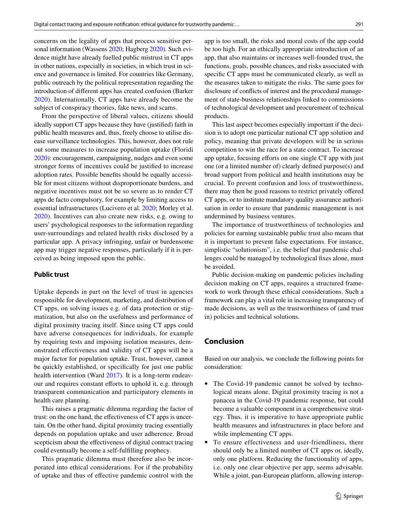concerns on the legality of apps that process sensitive personal information (Wassens [2020;](#page-9-7) Hagberg [2020\)](#page-8-31). Such evidence might have already fuelled public mistrust in CT apps in other nations, especially in societies, in which trust in science and governance is limited. For countries like Germany, public outreach by the political representation regarding the introduction of diferent apps has created confusion (Barker [2020\)](#page-7-10). Internationally, CT apps have already become the subject of conspiracy theories, fake news, and scams.

From the perspective of liberal values, citizens should ideally support CT apps because they have (justifed) faith in public health measures and, thus, freely choose to utilise disease surveillance technologies. This, however, does not rule out some measures to increase population uptake (Floridi [2020\)](#page-8-29): encouragement, campaigning, nudges and even some stronger forms of incentives could be justifed to increase adoption rates. Possible benefts should be equally accessible for most citizens without disproportionate burdens, and negative incentives must not be so severe as to render CT apps de facto compulsory, for example by limiting access to essential infrastructures (Lucivero et al. [2020;](#page-8-13) Morley et al. [2020\)](#page-8-17). Incentives can also create new risks, e.g. owing to users' psychological responses to the information regarding user-surroundings and related health risks disclosed by a particular app. A privacy infringing, unfair or burdensome app may trigger negative responses, particularly if it is perceived as being imposed upon the public.

#### **Public trust**

Uptake depends in part on the level of trust in agencies responsible for development, marketing, and distribution of CT apps, on solving issues e.g. of data protection or stigmatization, but also on the usefulness and performance of digital proximity tracing itself. Since using CT apps could have adverse consequences for individuals, for example by requiring tests and imposing isolation measures, demonstrated efectiveness and validity of CT apps will be a major factor for population uptake. Trust, however, cannot be quickly established, or specifcally for just one public health intervention (Ward [2017](#page-9-8)). It is a long-term endeavour and requires constant efforts to uphold it, e.g. through transparent communication and participatory elements in health care planning.

This raises a pragmatic dilemma regarding the factor of trust: on the one hand, the efectiveness of CT apps is uncertain. On the other hand, digital proximity tracing essentially depends on population uptake and user adherence. Broad scepticism about the effectiveness of digital contract tracing could eventually become a self-fulflling prophecy.

This pragmatic dilemma must therefore also be incorporated into ethical considerations. For if the probability of uptake and thus of efective pandemic control with the app is too small, the risks and moral costs of the app could be too high. For an ethically appropriate introduction of an app, that also maintains or increases well-founded trust, the functions, goals, possible chances, and risks associated with specific CT apps must be communicated clearly, as well as the measures taken to mitigate the risks. The same goes for disclosure of conficts of interest and the procedural management of state-business relationships linked to commissions of technological development and procurement of technical products.

This last aspect becomes especially important if the decision is to adopt one particular national CT app solution and policy, meaning that private developers will be in serious competition to win the race for a state contract. To increase app uptake, focusing efforts on one single CT app with just one (or a limited number of) clearly defned purpose(s) and broad support from political and health institutions may be crucial. To prevent confusion and loss of trustworthiness, there may then be good reasons to restrict privately offered CT apps, or to institute mandatory quality assurance authorisation in order to ensure that pandemic management is not undermined by business ventures.

The importance of trustworthiness of technologies and policies for earning sustainable public trust also means that it is important to prevent false expectations. For instance, simplistic "solutionism", i.e. the belief that pandemic challenges could be managed by technological fxes alone, must be avoided.

Public decision-making on pandemic policies including decision making on CT apps, requires a structured framework to work through these ethical considerations. Such a framework can play a vital role in increasing transparency of made decisions, as well as the trustworthiness of (and trust in) policies and technical solutions.

## **Conclusion**

Based on our analysis, we conclude the following points for consideration:

- The Covid-19 pandemic cannot be solved by technological means alone. Digital proximity tracing is not a panacea in the Covid-19 pandemic response, but could become a valuable component in a comprehensive strategy. Thus, it is imperative to have appropriate public health measures and infrastructures in place before and while implementing CT apps.
- To ensure effectiveness and user-friendliness, there should only be a limited number of CT apps or, ideally, only one platform. Reducing the functionality of apps, i.e. only one clear objective per app, seems advisable. While a joint, pan-European platform, allowing interop-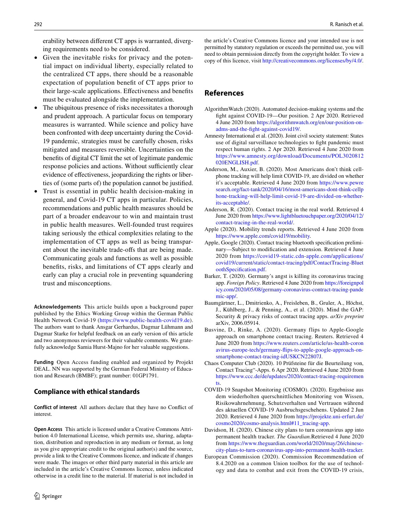erability between diferent CT apps is warranted, diverging requirements need to be considered.

- Given the inevitable risks for privacy and the potential impact on individual liberty, especially related to the centralized CT apps, there should be a reasonable expectation of population beneft of CT apps prior to their large-scale applications. Efectiveness and benefts must be evaluated alongside the implementation.
- The ubiquitous presence of risks necessitates a thorough and prudent approach. A particular focus on temporary measures is warranted. While science and policy have been confronted with deep uncertainty during the Covid-19 pandemic, strategies must be carefully chosen, risks mitigated and measures reversible. Uncertainties on the benefts of digital CT limit the set of legitimate pandemic response policies and actions. Without sufficiently clear evidence of efectiveness, jeopardizing the rights or liberties of (some parts of) the population cannot be justifed.
- Trust is essential in public health decision-making in general, and Covid-19 CT apps in particular. Policies, recommendations and public health measures should be part of a broader endeavour to win and maintain trust in public health measures. Well-founded trust requires taking seriously the ethical complexities relating to the implementation of CT apps as well as being transparent about the inevitable trade-ofs that are being made. Communicating goals and functions as well as possible benefts, risks, and limitations of CT apps clearly and early can play a crucial role in preventing squandering trust and misconceptions.

**Acknowledgements** This article builds upon a background paper published by the Ethics Working Group within the German Public Health Network Covid-19 [\(https://www.public-health-covid19.de](https://www.public-health-covid19.de)). The authors want to thank Ansgar Gerhardus, Dagmar Lühmann and Dagmar Starke for helpful feedback on an early version of this article and two anonymous reviewers for their valuable comments. We gratefully acknowledge Samia Hurst-Majno for her valuable suggestions.

**Funding** Open Access funding enabled and organized by Projekt DEAL. NN was supported by the German Federal Ministry of Education and Research (BMBF); grant number: 01GP1791.

#### **Compliance with ethical standards**

**Conflict of interest** All authors declare that they have no Confict of interest.

**Open Access** This article is licensed under a Creative Commons Attribution 4.0 International License, which permits use, sharing, adaptation, distribution and reproduction in any medium or format, as long as you give appropriate credit to the original author(s) and the source, provide a link to the Creative Commons licence, and indicate if changes were made. The images or other third party material in this article are included in the article's Creative Commons licence, unless indicated otherwise in a credit line to the material. If material is not included in the article's Creative Commons licence and your intended use is not permitted by statutory regulation or exceeds the permitted use, you will need to obtain permission directly from the copyright holder. To view a copy of this licence, visit<http://creativecommons.org/licenses/by/4.0/>.

# **References**

- <span id="page-7-1"></span>AlgorithmWatch (2020). Automated decision-making systems and the fght against COVID-19—Our position. 2 Apr 2020. Retrieved 4 June 2020 from [https://algorithmwatch.org/en/our-position-on](https://algorithmwatch.org/en/our-position-on-adms-and-the-fight-against-covid19/)[adms-and-the-fght-against-covid19/.](https://algorithmwatch.org/en/our-position-on-adms-and-the-fight-against-covid19/)
- <span id="page-7-2"></span>Amnesty International et al. (2020). Joint civil society statement: States use of digital surveillance technologies to fght pandemic must respect human rights. 2 Apr 2020. Retrieved 4 June 2020 from [https://www.amnesty.org/download/Documents/POL3020812](https://www.amnesty.org/download/Documents/POL3020812020ENGLISH.pdf) [020ENGLISH.pdf](https://www.amnesty.org/download/Documents/POL3020812020ENGLISH.pdf).
- <span id="page-7-7"></span>Anderson, M., Auxier, B. (2020). Most Americans don't think cellphone tracking will help limit COVID-19, are divided on whether it's acceptable. Retrieved 4 June 2020 from [https://www.pewre](https://www.pewresearch.org/fact-tank/2020/04/16/most-americans-dont-think-cellphone-tracking-will-help-limit-covid-19-are-divided-on-whether-its-acceptable/) [search.org/fact-tank/2020/04/16/most-americans-dont-think-cellp](https://www.pewresearch.org/fact-tank/2020/04/16/most-americans-dont-think-cellphone-tracking-will-help-limit-covid-19-are-divided-on-whether-its-acceptable/) [hone-tracking-will-help-limit-covid-19-are-divided-on-whether](https://www.pewresearch.org/fact-tank/2020/04/16/most-americans-dont-think-cellphone-tracking-will-help-limit-covid-19-are-divided-on-whether-its-acceptable/)[its-acceptable/.](https://www.pewresearch.org/fact-tank/2020/04/16/most-americans-dont-think-cellphone-tracking-will-help-limit-covid-19-are-divided-on-whether-its-acceptable/)
- <span id="page-7-5"></span>Anderson, R. (2020). Contact tracing in the real world. Retrieved 4 June 2020 from [https://www.lightbluetouchpaper.org/2020/04/12/](https://www.lightbluetouchpaper.org/2020/04/12/contact-tracing-in-the-real-world/) [contact-tracing-in-the-real-world/.](https://www.lightbluetouchpaper.org/2020/04/12/contact-tracing-in-the-real-world/)
- Apple (2020). Mobility trends reports. Retrieved 4 June 2020 from [https://www.apple.com/covid19/mobility.](https://www.apple.com/covid19/mobility)
- Apple, Google (2020). Contact tracing bluetooth specifcation preliminary—Subject to modifcation and extension. Retrieved 4 June 2020 from [https://covid19-static.cdn-apple.com/applications/](https://covid19-static.cdn-apple.com/applications/covid19/current/static/contact-tracing/pdf/ContactTracing-BluetoothSpecification.pdf) [covid19/current/static/contact-tracing/pdf/ContactTracing-Bluet](https://covid19-static.cdn-apple.com/applications/covid19/current/static/contact-tracing/pdf/ContactTracing-BluetoothSpecification.pdf) [oothSpecification.pdf.](https://covid19-static.cdn-apple.com/applications/covid19/current/static/contact-tracing/pdf/ContactTracing-BluetoothSpecification.pdf)
- <span id="page-7-10"></span>Barker, T. (2020). Germany's angst is killing its coronavirus tracing app. *Foreign Policy*. Retrieved 4 June 2020 from [https://foreignpol](https://foreignpolicy.com/2020/05/08/germany-coronavirus-contract-tracing-pandemic-app/) [icy.com/2020/05/08/germany-coronavirus-contract-tracing-pande](https://foreignpolicy.com/2020/05/08/germany-coronavirus-contract-tracing-pandemic-app/) [mic-app/.](https://foreignpolicy.com/2020/05/08/germany-coronavirus-contract-tracing-pandemic-app/)
- <span id="page-7-6"></span>Baumgärtner, L., Dmitrienko, A., Freisleben, B., Gruler, A., Höchst, J., Kühlberg, J., & Penning, A., et al. (2020). Mind the GAP: Security & privacy risks of contact tracing apps. *arXiv preprint* arXiv, 2006.05914.
- <span id="page-7-0"></span>Busvine, D., Rinke, A. (2020). Germany flips to Apple-Google approach on smartphone contact tracing. Reuters. Retrieved 4 June 2020 from [https://www.reuters.com/article/us-health-coron](https://www.reuters.com/article/us-health-coronavirus-europe-tech/germany-flips-to-apple-google-approach-on-smartphone-contact-tracing-idUSKCN22807J) [avirus-europe-tech/germany-fips-to-apple-google-approach-on](https://www.reuters.com/article/us-health-coronavirus-europe-tech/germany-flips-to-apple-google-approach-on-smartphone-contact-tracing-idUSKCN22807J)[smartphone-contact-tracing-idUSKCN22807J](https://www.reuters.com/article/us-health-coronavirus-europe-tech/germany-flips-to-apple-google-approach-on-smartphone-contact-tracing-idUSKCN22807J).
- <span id="page-7-3"></span>Chaos Computer Club (2020). 10 Prüfsteine für die Beurteilung von, Contact Tracing"-Apps. 6 Apr 2020. Retrieved 4 June 2020 from [https://www.ccc.de/de/updates/2020/contact-tracing-requiremen](https://www.ccc.de/de/updates/2020/contact-tracing-requirements) [ts.](https://www.ccc.de/de/updates/2020/contact-tracing-requirements)
- <span id="page-7-8"></span>COVID-19 Snapshot Monitoring (COSMO). (2020). Ergebnisse aus dem wiederholten querschnittlichen Monitoring von Wissen, Risikowahrnehmung, Schutzverhalten und Vertrauen während des aktuellen COVID-19 Ausbruchsgeschehens. Updated 2 Jun 2020. Retrieved 4 June 2020 from [https://projekte.uni-erfurt.de/](https://projekte.uni-erfurt.de/cosmo2020/cosmo-analysis.html#11_tracing-app) [cosmo2020/cosmo-analysis.html#11\\_tracing-app](https://projekte.uni-erfurt.de/cosmo2020/cosmo-analysis.html#11_tracing-app).
- <span id="page-7-9"></span>Davidson, H. (2020). Chinese city plans to turn coronavirus app into permanent health tracker. *The Guardian.*Retrieved 4 June 2020 from [https://www.theguardian.com/world/2020/may/26/chinese](https://www.theguardian.com/world/2020/may/26/chinese-city-plans-to-turn-coronavirus-app-into-permanent-health-tracker)[city-plans-to-turn-coronavirus-app-into-permanent-health-tracker](https://www.theguardian.com/world/2020/may/26/chinese-city-plans-to-turn-coronavirus-app-into-permanent-health-tracker).
- <span id="page-7-4"></span>European Commission (2020). Commission Recommendation of 8.4.2020 on a common Union toolbox for the use of technology and data to combat and exit from the COVID-19 crisis,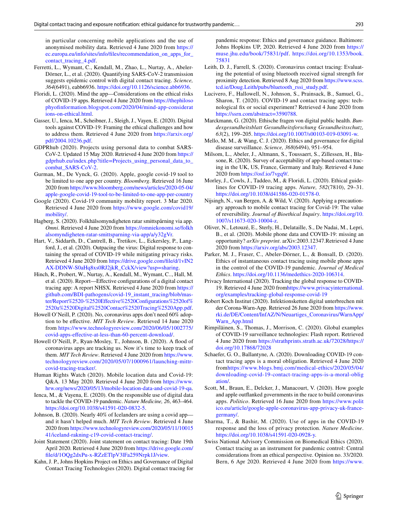in particular concerning mobile applications and the use of anonymised mobility data. Retrieved 4 June 2020 from [https://](https://ec.europa.eu/info/sites/info/files/recommendation_on_apps_for_contact_tracing_4.pdf) [ec.europa.eu/info/sites/info/fles/recommendation\\_on\\_apps\\_for\\_](https://ec.europa.eu/info/sites/info/files/recommendation_on_apps_for_contact_tracing_4.pdf) [contact\\_tracing\\_4.pdf](https://ec.europa.eu/info/sites/info/files/recommendation_on_apps_for_contact_tracing_4.pdf).

- <span id="page-8-7"></span>Ferretti, L., Wymant, C., Kendall, M., Zhao, L., Nurtay, A., Abeler-Dörner, L., et al. (2020). Quantifying SARS-CoV-2 transmission suggests epidemic control with digital contact tracing. *Science, 364*(6491), eabb6936. [https://doi.org/10.1126/science.abb6936.](https://doi.org/10.1126/science.abb6936)
- <span id="page-8-29"></span>Floridi, L. (2020). Mind the app—Considerations on the ethical risks of COVID-19 apps. Retrieved 4 June 2020 from [https://thephiloso](https://thephilosophyofinformation.blogspot.com/2020/04/mind-app-considerations-on-ethical.html) [phyofinformation.blogspot.com/2020/04/mind-app-considerat](https://thephilosophyofinformation.blogspot.com/2020/04/mind-app-considerations-on-ethical.html) [ions-on-ethical.html.](https://thephilosophyofinformation.blogspot.com/2020/04/mind-app-considerations-on-ethical.html)
- <span id="page-8-12"></span>Gasser, U., Ienca, M., Scheibner, J., Sleigh, J., Vayen, E. (2020). Digital tools against COVID-19: Framing the ethical challenges and how to address them. Retrieved 4 June 2020 from [https://arxiv.org/](https://arxiv.org/pdf/2004.10236.pdf) [pdf/2004.10236.pdf](https://arxiv.org/pdf/2004.10236.pdf).
- <span id="page-8-5"></span>GDPRhub (2020). Projects using personal data to combat SARS-CoV-2. Updated 15 May 2020. Retrieved 4 June 2020 from [https://](https://gdprhub.eu/index.php?title=Projects_using_personal_data_to_combat_SARS-CoV-2) [gdprhub.eu/index.php?title=Projects\\_using\\_personal\\_data\\_to\\_](https://gdprhub.eu/index.php?title=Projects_using_personal_data_to_combat_SARS-CoV-2) [combat\\_SARS-CoV-2](https://gdprhub.eu/index.php?title=Projects_using_personal_data_to_combat_SARS-CoV-2).
- <span id="page-8-11"></span>Gurman, M., De Vynck, G. (2020). Apple, google covid-19 tool to be limited to one app per country. *Bloomberg*. Retrieved 16 June 2020 from [https://www.bloomberg.com/news/articles/2020-05-04/](https://www.bloomberg.com/news/articles/2020-05-04/apple-google-covid-19-tool-to-be-limited-to-one-app-per-country) [apple-google-covid-19-tool-to-be-limited-to-one-app-per-country](https://www.bloomberg.com/news/articles/2020-05-04/apple-google-covid-19-tool-to-be-limited-to-one-app-per-country)
- <span id="page-8-2"></span>Google (2020). Covid-19 community mobility report. 3 Mar 2020. Retrieved 4 June 2020 from [https://www.google.com/covid19/](https://www.google.com/covid19/mobility/) [mobility/.](https://www.google.com/covid19/mobility/)
- <span id="page-8-31"></span>Hagberg, S. (2020). Folkhälsomyndigheten ratar smittspårning via app. *Omni*. Retrieved 4 June 2020 from [https://omniekonomi.se/folkh](https://omniekonomi.se/folkhalsomyndigheten-ratar-smittsparning-via-app/a/y32gVr) [alsomyndigheten-ratar-smittsparning-via-app/a/y32gVr.](https://omniekonomi.se/folkhalsomyndigheten-ratar-smittsparning-via-app/a/y32gVr)
- <span id="page-8-21"></span>Hart, V., Siddarth, D., Cantrell, B., Tretikov, L., Eckersley, P., Langford, J., et al. (2020). Outpacing the virus: Digital response to containing the spread of COVID-19 while mitigating privacy risks. Retrieved 4 June 2020 from [https://drive.google.com/fle/d/1vIN2](https://drive.google.com/file/d/1vIN2AX-DDNW-S0aHq8xs0RJ2jkR_CckX/view?usp=sharing) [AX-DDNW-S0aHq8xs0RJ2jkR\\_CckX/view?usp=sharing](https://drive.google.com/file/d/1vIN2AX-DDNW-S0aHq8xs0RJ2jkR_CckX/view?usp=sharing).
- <span id="page-8-25"></span>Hinch, R., Probert, W., Nurtay, A., Kendall, M., Wymant, C.., Hall, M. et al. (2020). Report—Efective confgurations of a digital contact tracing app: A report NHSX. Retrieved 4 June 2020 from [https://](https://github.com/BDI-pathogens/covid-19_instant_tracing/blob/master/Report%2520-%2520Effective%2520Configurations%2520of%2520a%2520Digital%2520Contact%2520Tracing%2520App.pdf) [github.com/BDI-pathogens/covid-19\\_instant\\_tracing/blob/mas](https://github.com/BDI-pathogens/covid-19_instant_tracing/blob/master/Report%2520-%2520Effective%2520Configurations%2520of%2520a%2520Digital%2520Contact%2520Tracing%2520App.pdf)[ter/Report%2520-%2520Efective%2520Confgurations%2520of%](https://github.com/BDI-pathogens/covid-19_instant_tracing/blob/master/Report%2520-%2520Effective%2520Configurations%2520of%2520a%2520Digital%2520Contact%2520Tracing%2520App.pdf) [2520a%2520Digital%2520Contact%2520Tracing%2520App.pdf.](https://github.com/BDI-pathogens/covid-19_instant_tracing/blob/master/Report%2520-%2520Effective%2520Configurations%2520of%2520a%2520Digital%2520Contact%2520Tracing%2520App.pdf)
- <span id="page-8-27"></span>Howell O'Neill, P. (2020). No, coronavirus apps don't need 60% adoption to be efective. *MIT Tech Review*. Retrieved 14 June 2020 from [https://www.technologyreview.com/2020/06/05/1002775/](https://www.technologyreview.com/2020/06/05/1002775/covid-apps-effective-at-less-than-60-percent-download/) [covid-apps-efective-at-less-than-60-percent-download/](https://www.technologyreview.com/2020/06/05/1002775/covid-apps-effective-at-less-than-60-percent-download/).
- <span id="page-8-8"></span>Howell O'Neill, P., Ryan-Mosley, T., Johnson, B. (2020). A flood of coronavirus apps are tracking us. Now it's time to keep track of them. *MIT Tech Review*. Retrieved 4 June 2020 from [https://www.](https://www.technologyreview.com/2020/05/07/1000961/launching-mittr-covid-tracing-tracker/) [technologyreview.com/2020/05/07/1000961/launching-mittr](https://www.technologyreview.com/2020/05/07/1000961/launching-mittr-covid-tracing-tracker/)[covid-tracing-tracker/.](https://www.technologyreview.com/2020/05/07/1000961/launching-mittr-covid-tracing-tracker/)
- <span id="page-8-14"></span>Human Rights Watch (2020). Mobile location data and Covid-19: Q&A. 13 May 2020. Retrieved 4 June 2020 from [https://www.](https://www.hrw.org/news/2020/05/13/mobile-location-data-and-covid-19-qa) [hrw.org/news/2020/05/13/mobile-location-data-and-covid-19-qa.](https://www.hrw.org/news/2020/05/13/mobile-location-data-and-covid-19-qa)
- <span id="page-8-30"></span>Ienca, M., & Vayena, E. (2020). On the responsible use of digital data to tackle the COVID-19 pandemic. *Nature Medicine, 26*, 463–464. [https://doi.org/10.1038/s41591-020-0832-5.](https://doi.org/10.1038/s41591-020-0832-5)
- <span id="page-8-23"></span>Johnson, B. (2020). Nearly 40% of Icelanders are using a covid app and it hasn't helped much. *MIT Tech Review*. Retrieved 4 June 2020 from [https://www.technologyreview.com/2020/05/11/10015](https://www.technologyreview.com/2020/05/11/1001541/iceland-rakning-c19-covid-contact-tracing/) [41/iceland-rakning-c19-covid-contact-tracing/](https://www.technologyreview.com/2020/05/11/1001541/iceland-rakning-c19-covid-contact-tracing/).
- <span id="page-8-9"></span>Joint Statement (2020). Joint statement on contact tracing: Date 19th April 2020. Retrieved 4 June 2020 from [https://drive.google.com/](https://drive.google.com/file/d/1OQg2dxPu-x-RZzETlpV3lFa259Nrpk1J/view) [fle/d/1OQg2dxPu-x-RZzETlpV3lFa259Nrpk1J/view.](https://drive.google.com/file/d/1OQg2dxPu-x-RZzETlpV3lFa259Nrpk1J/view)
- <span id="page-8-16"></span>Kahn, J. P., Johns Hopkins Project on Ethics and Governance of Digital Contact Tracing Technologies (2020). Digital contact tracing for

pandemic response: Ethics and governance guidance. Baltimore: Johns Hopkins UP, 2020. Retrieved 4 June 2020 from [https://](https://muse.jhu.edu/book/75831/pdf) [muse.jhu.edu/book/75831/pdf](https://muse.jhu.edu/book/75831/pdf). [https://doi.org/10.1353/book.](https://doi.org/10.1353/book.75831) [75831](https://doi.org/10.1353/book.75831)

- <span id="page-8-24"></span>Leith, D. J., Farrell, S. (2020). Coronavirus contact tracing: Evaluating the potential of using bluetooth received signal strength for proximity detection. Retrieved 8 Aug 2020 from [https://www.scss.](https://www.scss.tcd.ie/Doug.Leith/pubs/bluetooth_rssi_study.pdf) [tcd.ie/Doug.Leith/pubs/bluetooth\\_rssi\\_study.pdf](https://www.scss.tcd.ie/Doug.Leith/pubs/bluetooth_rssi_study.pdf).
- <span id="page-8-13"></span>Lucivero, F., Hallowell, N., Johnson, S., Prainsack, B., Samuel, G., Sharon, T. (2020). COVID-19 and contact tracing apps: technological fx or social experiment? Retrieved 4 June 2020 from <https://ssrn.com/abstract=3590788>.
- <span id="page-8-19"></span>Marckmann, G. (2020). Ethische fragen von digital public health. *Bundesgesundheitsblatt Gesundheitsforschung Gesundheitsschutz, 63*(2), 199–205. [https://doi.org/10.1007/s00103-019-03091-w.](https://doi.org/10.1007/s00103-019-03091-w)
- <span id="page-8-0"></span>Mello, M. M., & Wang, C. J. (2020). Ethics and governance for digital disease surveillance. *Science, 368*(6494), 951–954.
- <span id="page-8-28"></span>Milsom, L., Abeler, J., Altmann, S., Toussaert, S., Zillessen, H., Blasone, R. (2020). Survey of acceptability of app-based contact tracing in the UK, US, France, Germany and Italy. Retrieved 4 June 2020 from<https://osf.io/7vgq9/>.
- <span id="page-8-17"></span>Morley, J., Cowls, J., Taddeo, M., & Floridi, L. (2020). Ethical guidelines for COVID-19 tracing apps. *Nature, 582*(7810), 29–31. <https://doi.org/10.1038/d41586-020-01578-0>.
- <span id="page-8-20"></span>Nijsingh, N., van Bergen, A. & Wild, V. (2020). Applying a precautionary approach to mobile contact tracing for Covid-19: The value of reversibility. *Journal of Bioethical Inquiry*. [https://doi.org/10.](https://doi.org/10.1007/s11673-020-10004-z) [1007/s11673-020-10004-z](https://doi.org/10.1007/s11673-020-10004-z).
- <span id="page-8-1"></span>Oliver, N., Letouzé, E., Sterly, H., Delataille, S., De Nadai, M., Lepri, B., et al. (2020). Mobile phone data and COVID-19: missing an opportunity? *arXiv preprint*. arXiv:2003.12347.Retrieved 4 June 2020 from [https://arxiv.org/abs/2003.12347.](https://arxiv.org/abs/2003.12347)
- <span id="page-8-18"></span>Parker, M. J., Fraser, C., Abeler-Dörner, L., & Bonsall, D. (2020). Ethics of instantaneous contact tracing using mobile phone apps in the control of the COVID-19 pandemic. *Journal of Medical Ethics*. [https://doi.org/10.1136/medethics-2020-106314.](https://doi.org/10.1136/medethics-2020-106314)
- <span id="page-8-4"></span>Privacy International (2020). Tracking the global response to COVID-19. Retrieved 4 June 2020 from[https://www.privacyinternational.](https://www.privacyinternational.org/examples/tracking-global-response-covid-19) [org/examples/tracking-global-response-covid-19](https://www.privacyinternational.org/examples/tracking-global-response-covid-19)
- <span id="page-8-26"></span>Robert Koch Institut (2020). Infektionsketten digital unterbrechen mit der Corona-Warn-App. Retrieved 26 June 2020 from [https://www.](https://www.rki.de/DE/Content/InfAZ/N/Neuartiges_Coronavirus/WarnApp/Warn_App.html) [rki.de/DE/Content/InfAZ/N/Neuartiges\\_Coronavirus/WarnApp/](https://www.rki.de/DE/Content/InfAZ/N/Neuartiges_Coronavirus/WarnApp/Warn_App.html) [Warn\\_App.html](https://www.rki.de/DE/Content/InfAZ/N/Neuartiges_Coronavirus/WarnApp/Warn_App.html)
- <span id="page-8-6"></span>Rimpiläinen, S., Thomas, J., Morrison, C. (2020). Global examples of COVID-19 surveillance technologies: Flash report. Retrieved 4 June 2020 from <https://strathprints.strath.ac.uk/72028/>[https://](https://doi.org/10.17868/72028) [doi.org/10.17868/72028](https://doi.org/10.17868/72028)
- <span id="page-8-22"></span>Schaefer, G. O., Ballantyne, A. (2020). Downloading COVID-19 contact tracing apps is a moral obligation. Retrieved 4 June 2020 from[https://www.blogs.bmj.com/medical-ethics/2020/05/04/](https://www.blogs.bmj.com/medical-ethics/2020/05/04/downloading-covid-19-contact-tracing-apps-is-a-moral-obligation/) [downloading-covid-19-contact-tracing-apps-is-a-moral-oblig](https://www.blogs.bmj.com/medical-ethics/2020/05/04/downloading-covid-19-contact-tracing-apps-is-a-moral-obligation/) [ation/.](https://www.blogs.bmj.com/medical-ethics/2020/05/04/downloading-covid-19-contact-tracing-apps-is-a-moral-obligation/)
- <span id="page-8-10"></span>Scott, M., Braun, E., Delcker, J., Manacourt, V. (2020). How google and apple outfanked governments in the race to build coronavirus apps. *Politico*. Retrieved 16 June 2020 from [https://www.polit](https://www.politico.eu/article/google-apple-coronavirus-app-privacy-uk-france-germany/) [ico.eu/article/google-apple-coronavirus-app-privacy-uk-france](https://www.politico.eu/article/google-apple-coronavirus-app-privacy-uk-france-germany/)[germany/](https://www.politico.eu/article/google-apple-coronavirus-app-privacy-uk-france-germany/).
- <span id="page-8-3"></span>Sharma, T., & Bashir, M. (2020). Use of apps in the COVID-19 response and the loss of privacy protection. *Nature Medicine*. <https://doi.org/10.1038/s41591-020-0928-y>.
- <span id="page-8-15"></span>Swiss National Advisory Commission on Biomedical Ethics (2020). Contact tracing as an instrument for pandemic control: Central considerations from an ethical perspective. Opinion no. 33/2020. Bern, 6 Apr 2020. Retrieved 4 June 2020 from [https://www.](https://www.nek-cne.admin.ch/inhalte/Themen/Stellungnahmen/en/NEK-stellungnahme-EN_Contact_Tracing.pdf)